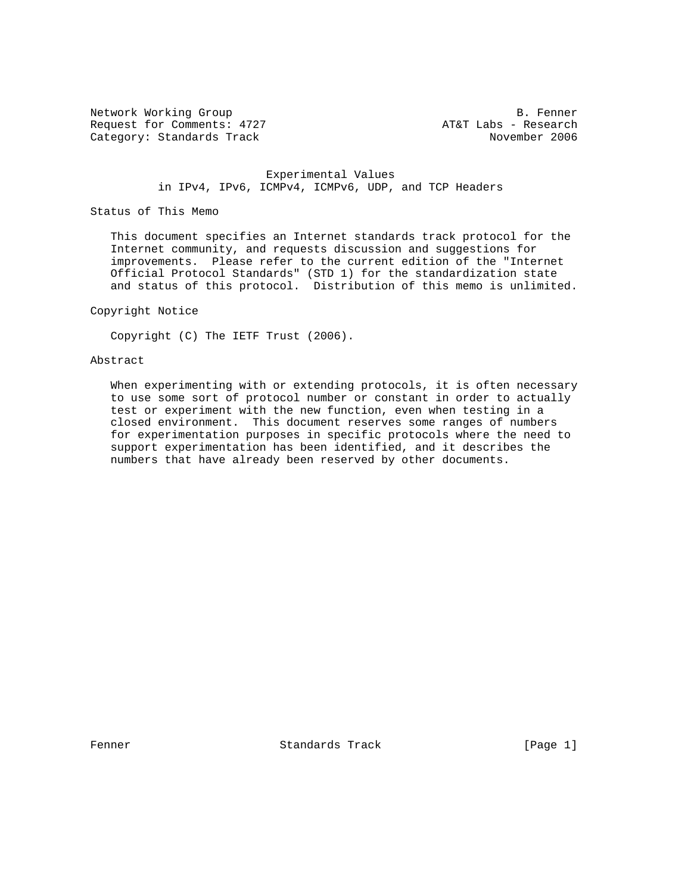Network Working Group B. Fenner Request for Comments: 4727 AT&T Labs - Research Category: Standards Track November 2006

#### Experimental Values in IPv4, IPv6, ICMPv4, ICMPv6, UDP, and TCP Headers

Status of This Memo

 This document specifies an Internet standards track protocol for the Internet community, and requests discussion and suggestions for improvements. Please refer to the current edition of the "Internet Official Protocol Standards" (STD 1) for the standardization state and status of this protocol. Distribution of this memo is unlimited.

## Copyright Notice

Copyright (C) The IETF Trust (2006).

### Abstract

 When experimenting with or extending protocols, it is often necessary to use some sort of protocol number or constant in order to actually test or experiment with the new function, even when testing in a closed environment. This document reserves some ranges of numbers for experimentation purposes in specific protocols where the need to support experimentation has been identified, and it describes the numbers that have already been reserved by other documents.

Fenner **Standards Track** [Page 1]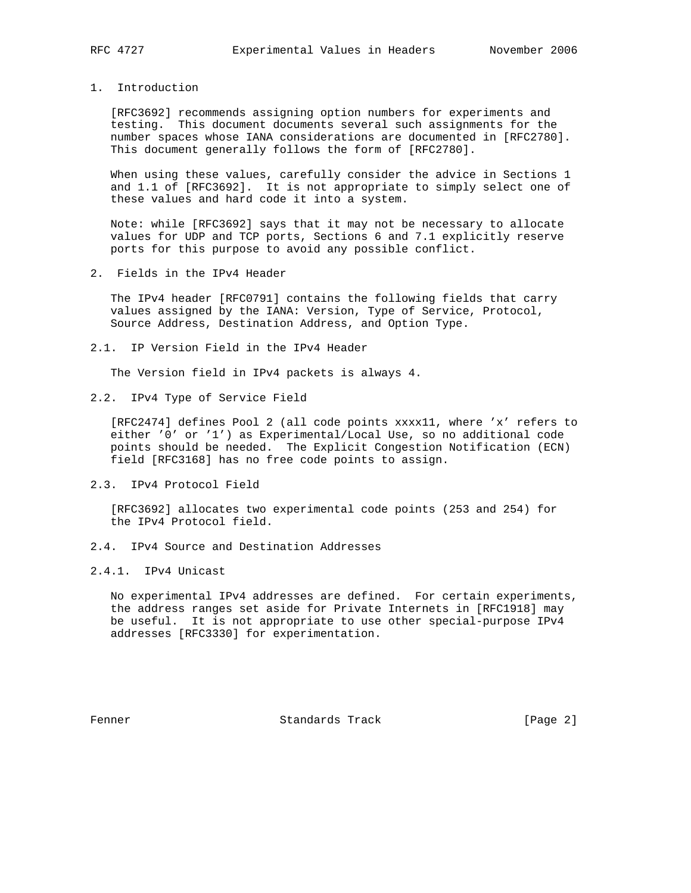1. Introduction

 [RFC3692] recommends assigning option numbers for experiments and testing. This document documents several such assignments for the number spaces whose IANA considerations are documented in [RFC2780]. This document generally follows the form of [RFC2780].

 When using these values, carefully consider the advice in Sections 1 and 1.1 of [RFC3692]. It is not appropriate to simply select one of these values and hard code it into a system.

 Note: while [RFC3692] says that it may not be necessary to allocate values for UDP and TCP ports, Sections 6 and 7.1 explicitly reserve ports for this purpose to avoid any possible conflict.

2. Fields in the IPv4 Header

 The IPv4 header [RFC0791] contains the following fields that carry values assigned by the IANA: Version, Type of Service, Protocol, Source Address, Destination Address, and Option Type.

2.1. IP Version Field in the IPv4 Header

The Version field in IPv4 packets is always 4.

2.2. IPv4 Type of Service Field

 [RFC2474] defines Pool 2 (all code points xxxx11, where 'x' refers to either '0' or '1') as Experimental/Local Use, so no additional code points should be needed. The Explicit Congestion Notification (ECN) field [RFC3168] has no free code points to assign.

2.3. IPv4 Protocol Field

 [RFC3692] allocates two experimental code points (253 and 254) for the IPv4 Protocol field.

2.4. IPv4 Source and Destination Addresses

2.4.1. IPv4 Unicast

 No experimental IPv4 addresses are defined. For certain experiments, the address ranges set aside for Private Internets in [RFC1918] may be useful. It is not appropriate to use other special-purpose IPv4 addresses [RFC3330] for experimentation.

Fenner **Standards Track** [Page 2]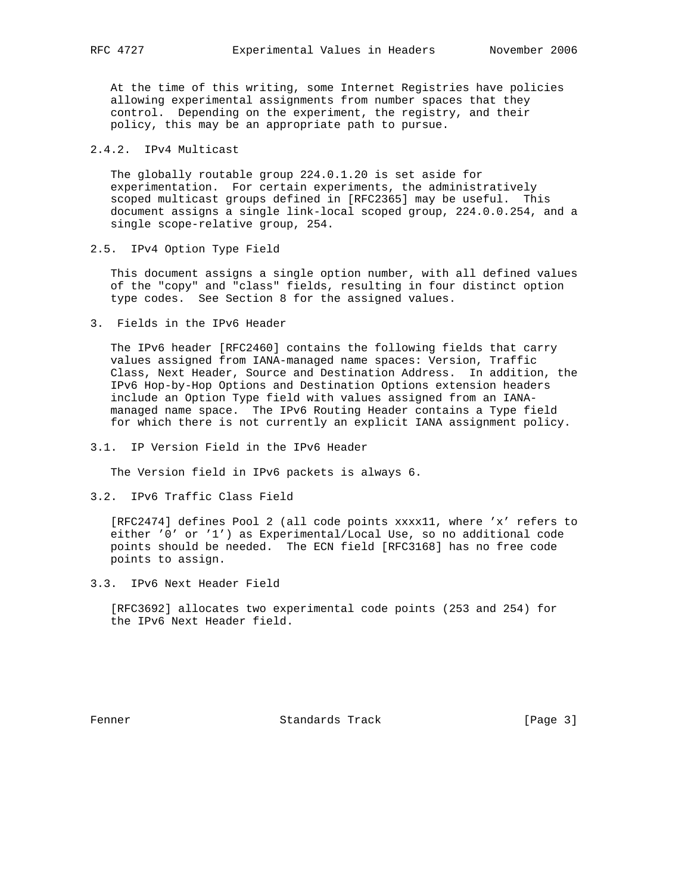At the time of this writing, some Internet Registries have policies allowing experimental assignments from number spaces that they control. Depending on the experiment, the registry, and their policy, this may be an appropriate path to pursue.

# 2.4.2. IPv4 Multicast

 The globally routable group 224.0.1.20 is set aside for experimentation. For certain experiments, the administratively scoped multicast groups defined in [RFC2365] may be useful. This document assigns a single link-local scoped group, 224.0.0.254, and a single scope-relative group, 254.

2.5. IPv4 Option Type Field

 This document assigns a single option number, with all defined values of the "copy" and "class" fields, resulting in four distinct option type codes. See Section 8 for the assigned values.

3. Fields in the IPv6 Header

 The IPv6 header [RFC2460] contains the following fields that carry values assigned from IANA-managed name spaces: Version, Traffic Class, Next Header, Source and Destination Address. In addition, the IPv6 Hop-by-Hop Options and Destination Options extension headers include an Option Type field with values assigned from an IANA managed name space. The IPv6 Routing Header contains a Type field for which there is not currently an explicit IANA assignment policy.

3.1. IP Version Field in the IPv6 Header

The Version field in IPv6 packets is always 6.

3.2. IPv6 Traffic Class Field

 [RFC2474] defines Pool 2 (all code points xxxx11, where 'x' refers to either '0' or '1') as Experimental/Local Use, so no additional code points should be needed. The ECN field [RFC3168] has no free code points to assign.

3.3. IPv6 Next Header Field

 [RFC3692] allocates two experimental code points (253 and 254) for the IPv6 Next Header field.

Fenner Standards Track [Page 3]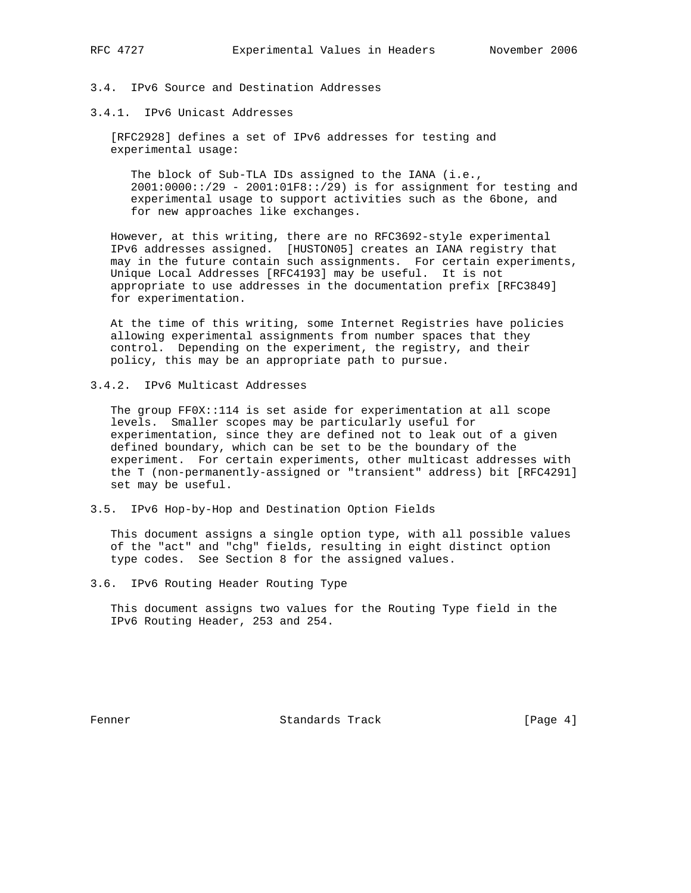# 3.4. IPv6 Source and Destination Addresses

3.4.1. IPv6 Unicast Addresses

 [RFC2928] defines a set of IPv6 addresses for testing and experimental usage:

The block of Sub-TLA IDs assigned to the IANA (i.e., 2001:0000::/29 - 2001:01F8::/29) is for assignment for testing and experimental usage to support activities such as the 6bone, and for new approaches like exchanges.

 However, at this writing, there are no RFC3692-style experimental IPv6 addresses assigned. [HUSTON05] creates an IANA registry that may in the future contain such assignments. For certain experiments, Unique Local Addresses [RFC4193] may be useful. It is not appropriate to use addresses in the documentation prefix [RFC3849] for experimentation.

 At the time of this writing, some Internet Registries have policies allowing experimental assignments from number spaces that they control. Depending on the experiment, the registry, and their policy, this may be an appropriate path to pursue.

3.4.2. IPv6 Multicast Addresses

 The group FF0X::114 is set aside for experimentation at all scope levels. Smaller scopes may be particularly useful for experimentation, since they are defined not to leak out of a given defined boundary, which can be set to be the boundary of the experiment. For certain experiments, other multicast addresses with the T (non-permanently-assigned or "transient" address) bit [RFC4291] set may be useful.

3.5. IPv6 Hop-by-Hop and Destination Option Fields

 This document assigns a single option type, with all possible values of the "act" and "chg" fields, resulting in eight distinct option type codes. See Section 8 for the assigned values.

3.6. IPv6 Routing Header Routing Type

 This document assigns two values for the Routing Type field in the IPv6 Routing Header, 253 and 254.

Fenner Standards Track (Page 4)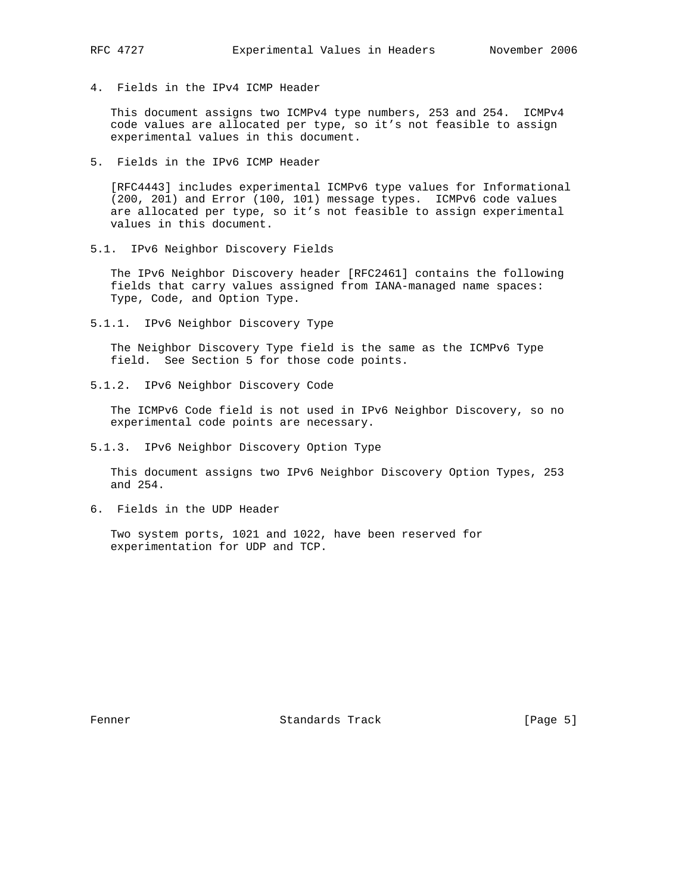4. Fields in the IPv4 ICMP Header

 This document assigns two ICMPv4 type numbers, 253 and 254. ICMPv4 code values are allocated per type, so it's not feasible to assign experimental values in this document.

5. Fields in the IPv6 ICMP Header

 [RFC4443] includes experimental ICMPv6 type values for Informational (200, 201) and Error (100, 101) message types. ICMPv6 code values are allocated per type, so it's not feasible to assign experimental values in this document.

5.1. IPv6 Neighbor Discovery Fields

 The IPv6 Neighbor Discovery header [RFC2461] contains the following fields that carry values assigned from IANA-managed name spaces: Type, Code, and Option Type.

5.1.1. IPv6 Neighbor Discovery Type

 The Neighbor Discovery Type field is the same as the ICMPv6 Type field. See Section 5 for those code points.

5.1.2. IPv6 Neighbor Discovery Code

 The ICMPv6 Code field is not used in IPv6 Neighbor Discovery, so no experimental code points are necessary.

5.1.3. IPv6 Neighbor Discovery Option Type

 This document assigns two IPv6 Neighbor Discovery Option Types, 253 and 254.

6. Fields in the UDP Header

 Two system ports, 1021 and 1022, have been reserved for experimentation for UDP and TCP.

Fenner Standards Track (Page 5)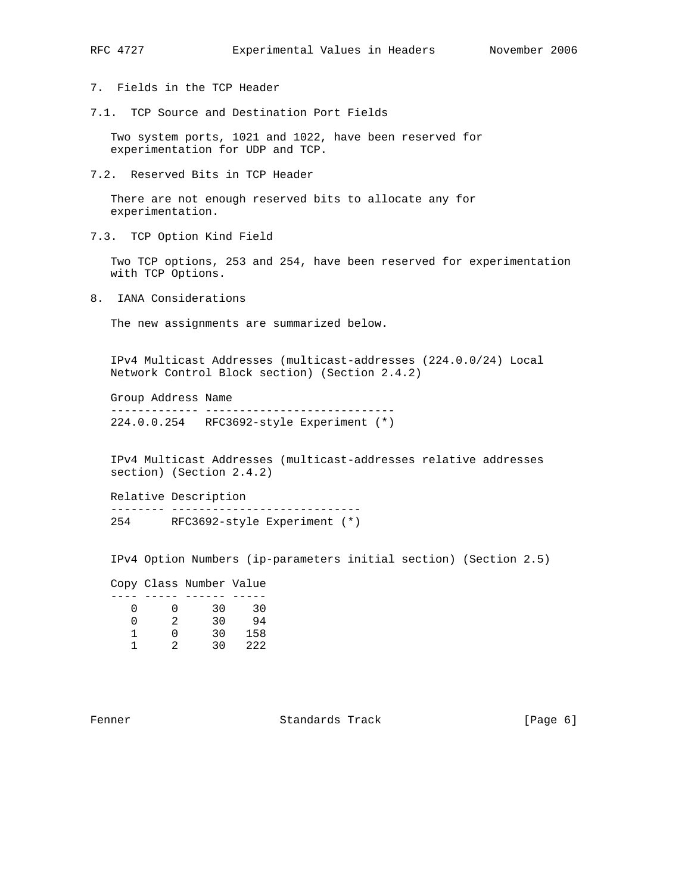- 7. Fields in the TCP Header
- 7.1. TCP Source and Destination Port Fields

 Two system ports, 1021 and 1022, have been reserved for experimentation for UDP and TCP.

7.2. Reserved Bits in TCP Header

 There are not enough reserved bits to allocate any for experimentation.

7.3. TCP Option Kind Field

 Two TCP options, 253 and 254, have been reserved for experimentation with TCP Options.

8. IANA Considerations

The new assignments are summarized below.

 IPv4 Multicast Addresses (multicast-addresses (224.0.0/24) Local Network Control Block section) (Section 2.4.2)

 Group Address Name ------------- ---------------------------- 224.0.0.254 RFC3692-style Experiment (\*)

 IPv4 Multicast Addresses (multicast-addresses relative addresses section) (Section 2.4.2)

 Relative Description -------- ---------------------------- 254 RFC3692-style Experiment (\*)

IPv4 Option Numbers (ip-parameters initial section) (Section 2.5)

 Copy Class Number Value ---- ----- ------ ----- 0 0 30 30 0 2 30 94 1 0 30 158 1 2 30 222

Fenner 6 (Page 6) Standards Track (Page 6)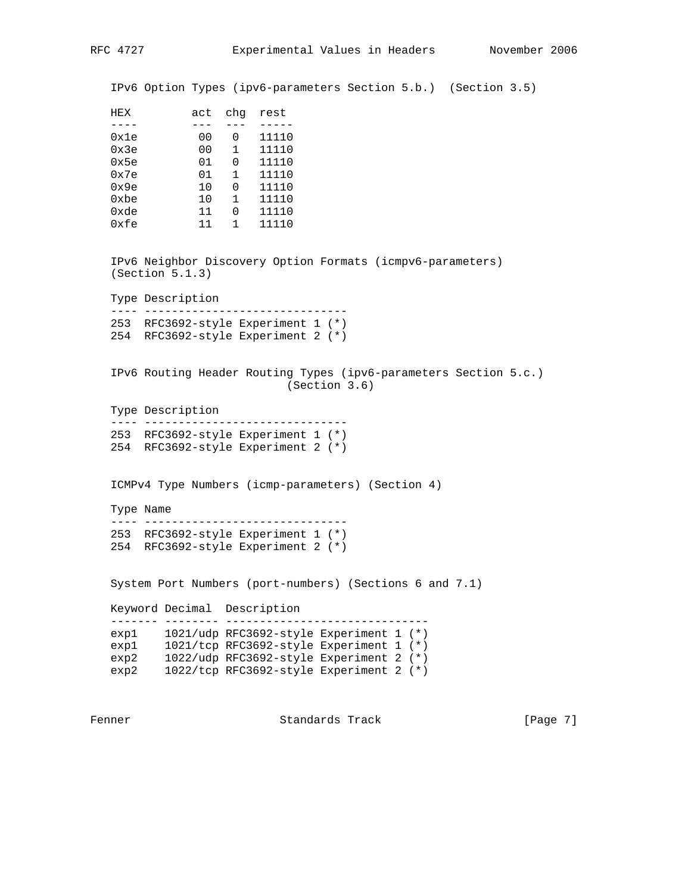IPv6 Option Types (ipv6-parameters Section 5.b.) (Section 3.5)

| HEX  | act | chq | rest  |
|------|-----|-----|-------|
|      |     |     |       |
| 0x1e | 00  |     | 11110 |
| 0x3e | 00  | 1   | 11110 |
| 0x5e | 01  | U   | 11110 |
| 0x7e | 01  | 1   | 11110 |
| 0x9e | 10  | O   | 11110 |
| 0xbe | 10  | 1   | 11110 |
| 0xde | 11  |     | 11110 |
| 0xfe | 11  |     | 11110 |

 IPv6 Neighbor Discovery Option Formats (icmpv6-parameters) (Section 5.1.3)

Type Description

```
 ---- ------------------------------
253 RFC3692-style Experiment 1 (*)
254 RFC3692-style Experiment 2 (*)
```
 IPv6 Routing Header Routing Types (ipv6-parameters Section 5.c.) (Section 3.6)

Type Description

 ---- ------------------------------ 253 RFC3692-style Experiment 1 (\*) 254 RFC3692-style Experiment 2 (\*)

ICMPv4 Type Numbers (icmp-parameters) (Section 4)

 Type Name ---- ------------------------------

```
 253 RFC3692-style Experiment 1 (*)
254 RFC3692-style Experiment 2 (*)
```
System Port Numbers (port-numbers) (Sections 6 and 7.1)

 Keyword Decimal Description ------- -------- ----------------------------- exp1 1021/udp RFC3692-style Experiment 1 (\*) exp1 1021/tcp RFC3692-style Experiment 1 (\*) exp2 1022/udp RFC3692-style Experiment 2 (\*) exp2 1022/tcp RFC3692-style Experiment 2 (\*)

Fenner **Standards Track** [Page 7]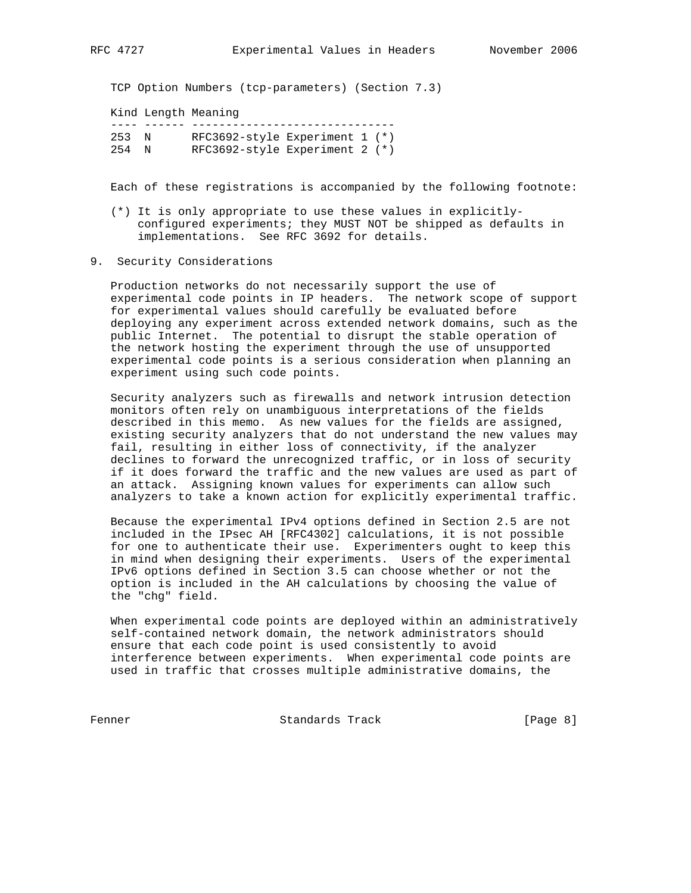TCP Option Numbers (tcp-parameters) (Section 7.3)

Kind Length Meaning

 ---- ------ ------------------------------ 253 N RFC3692-style Experiment 1 (\*) 254 N RFC3692-style Experiment 2 (\*)

Each of these registrations is accompanied by the following footnote:

- (\*) It is only appropriate to use these values in explicitly configured experiments; they MUST NOT be shipped as defaults in implementations. See RFC 3692 for details.
- 9. Security Considerations

 Production networks do not necessarily support the use of experimental code points in IP headers. The network scope of support for experimental values should carefully be evaluated before deploying any experiment across extended network domains, such as the public Internet. The potential to disrupt the stable operation of the network hosting the experiment through the use of unsupported experimental code points is a serious consideration when planning an experiment using such code points.

 Security analyzers such as firewalls and network intrusion detection monitors often rely on unambiguous interpretations of the fields described in this memo. As new values for the fields are assigned, existing security analyzers that do not understand the new values may fail, resulting in either loss of connectivity, if the analyzer declines to forward the unrecognized traffic, or in loss of security if it does forward the traffic and the new values are used as part of an attack. Assigning known values for experiments can allow such analyzers to take a known action for explicitly experimental traffic.

 Because the experimental IPv4 options defined in Section 2.5 are not included in the IPsec AH [RFC4302] calculations, it is not possible for one to authenticate their use. Experimenters ought to keep this in mind when designing their experiments. Users of the experimental IPv6 options defined in Section 3.5 can choose whether or not the option is included in the AH calculations by choosing the value of the "chg" field.

 When experimental code points are deployed within an administratively self-contained network domain, the network administrators should ensure that each code point is used consistently to avoid interference between experiments. When experimental code points are used in traffic that crosses multiple administrative domains, the

Fenner Standards Track [Page 8]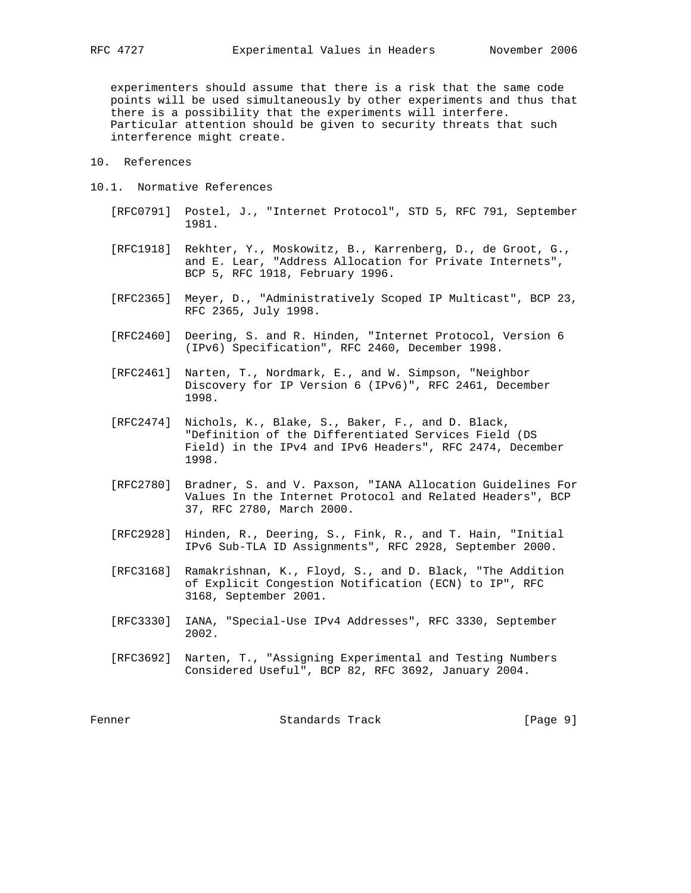experimenters should assume that there is a risk that the same code points will be used simultaneously by other experiments and thus that there is a possibility that the experiments will interfere. Particular attention should be given to security threats that such interference might create.

- 10. References
- 10.1. Normative References
	- [RFC0791] Postel, J., "Internet Protocol", STD 5, RFC 791, September 1981.
	- [RFC1918] Rekhter, Y., Moskowitz, B., Karrenberg, D., de Groot, G., and E. Lear, "Address Allocation for Private Internets", BCP 5, RFC 1918, February 1996.
	- [RFC2365] Meyer, D., "Administratively Scoped IP Multicast", BCP 23, RFC 2365, July 1998.
	- [RFC2460] Deering, S. and R. Hinden, "Internet Protocol, Version 6 (IPv6) Specification", RFC 2460, December 1998.
	- [RFC2461] Narten, T., Nordmark, E., and W. Simpson, "Neighbor Discovery for IP Version 6 (IPv6)", RFC 2461, December 1998.
	- [RFC2474] Nichols, K., Blake, S., Baker, F., and D. Black, "Definition of the Differentiated Services Field (DS Field) in the IPv4 and IPv6 Headers", RFC 2474, December 1998.
	- [RFC2780] Bradner, S. and V. Paxson, "IANA Allocation Guidelines For Values In the Internet Protocol and Related Headers", BCP 37, RFC 2780, March 2000.
	- [RFC2928] Hinden, R., Deering, S., Fink, R., and T. Hain, "Initial IPv6 Sub-TLA ID Assignments", RFC 2928, September 2000.
	- [RFC3168] Ramakrishnan, K., Floyd, S., and D. Black, "The Addition of Explicit Congestion Notification (ECN) to IP", RFC 3168, September 2001.
	- [RFC3330] IANA, "Special-Use IPv4 Addresses", RFC 3330, September 2002.
	- [RFC3692] Narten, T., "Assigning Experimental and Testing Numbers Considered Useful", BCP 82, RFC 3692, January 2004.

Fenner Standards Track [Page 9]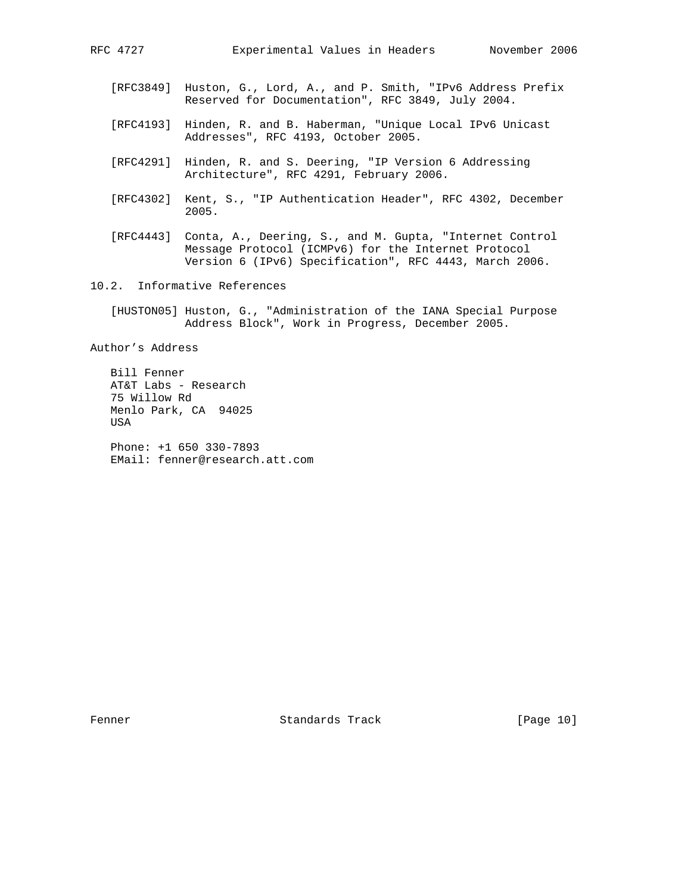- [RFC3849] Huston, G., Lord, A., and P. Smith, "IPv6 Address Prefix Reserved for Documentation", RFC 3849, July 2004.
- [RFC4193] Hinden, R. and B. Haberman, "Unique Local IPv6 Unicast Addresses", RFC 4193, October 2005.
- [RFC4291] Hinden, R. and S. Deering, "IP Version 6 Addressing Architecture", RFC 4291, February 2006.
- [RFC4302] Kent, S., "IP Authentication Header", RFC 4302, December 2005.
- [RFC4443] Conta, A., Deering, S., and M. Gupta, "Internet Control Message Protocol (ICMPv6) for the Internet Protocol Version 6 (IPv6) Specification", RFC 4443, March 2006.
- 10.2. Informative References
	- [HUSTON05] Huston, G., "Administration of the IANA Special Purpose Address Block", Work in Progress, December 2005.

Author's Address

 Bill Fenner AT&T Labs - Research 75 Willow Rd Menlo Park, CA 94025 USA Phone: +1 650 330-7893 EMail: fenner@research.att.com

Fenner 1986 Standards Track 1986 [Page 10]